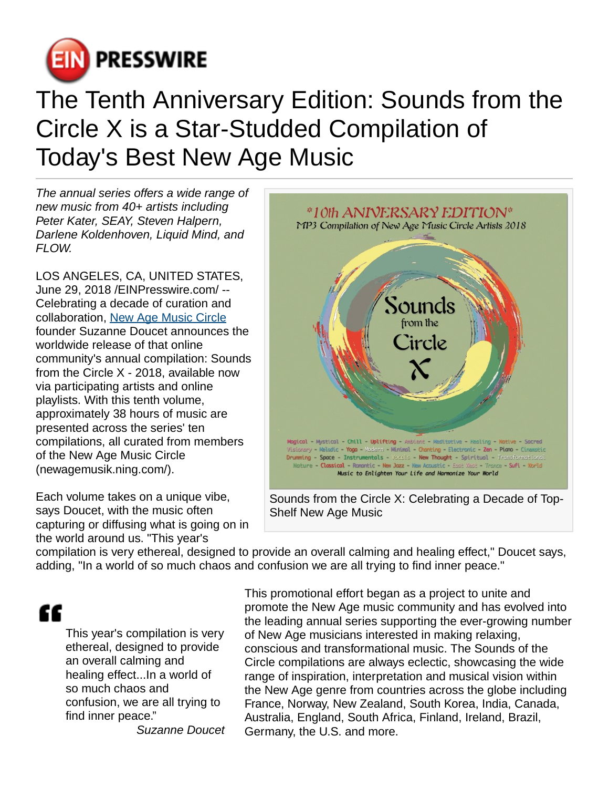

## The Tenth Anniversary Edition: Sounds from the Circle X is a Star-Studded Compilation of Today's Best New Age Music

The annual series offers a wide range of new music from 40+ artists including Peter Kater, SEAY, Steven Halpern, Darlene Koldenhoven, Liquid Mind, and FI OW.

LOS ANGELES, CA, UNITED STATES, June 29, 2018 [/EINPresswire.com/](http://www.einpresswire.com) -- Celebrating a decade of curation and collaboration, [New Age Music Circle](http://newagemusik.ning.com) founder Suzanne Doucet announces the worldwide release of that online community's annual compilation: Sounds from the Circle X - 2018, available now via participating artists and online playlists. With this tenth volume, approximately 38 hours of music are presented across the series' ten compilations, all curated from members of the New Age Music Circle (newagemusik.ning.com/).

Each volume takes on a unique vibe, says Doucet, with the music often capturing or diffusing what is going on in the world around us. "This year's



Sounds from the Circle X: Celebrating a Decade of Top-Shelf New Age Music

compilation is very ethereal, designed to provide an overall calming and healing effect," Doucet says, adding, "In a world of so much chaos and confusion we are all trying to find inner peace."

## "

This year's compilation is very ethereal, designed to provide an overall calming and healing effect...In a world of so much chaos and confusion, we are all trying to find inner peace."

Suzanne Doucet

This promotional effort began as a project to unite and promote the New Age music community and has evolved into the leading annual series supporting the ever-growing number of New Age musicians interested in making relaxing, conscious and transformational music. The Sounds of the Circle compilations are always eclectic, showcasing the wide range of inspiration, interpretation and musical vision within the New Age genre from countries across the globe including France, Norway, New Zealand, South Korea, India, Canada, Australia, England, South Africa, Finland, Ireland, Brazil, Germany, the U.S. and more.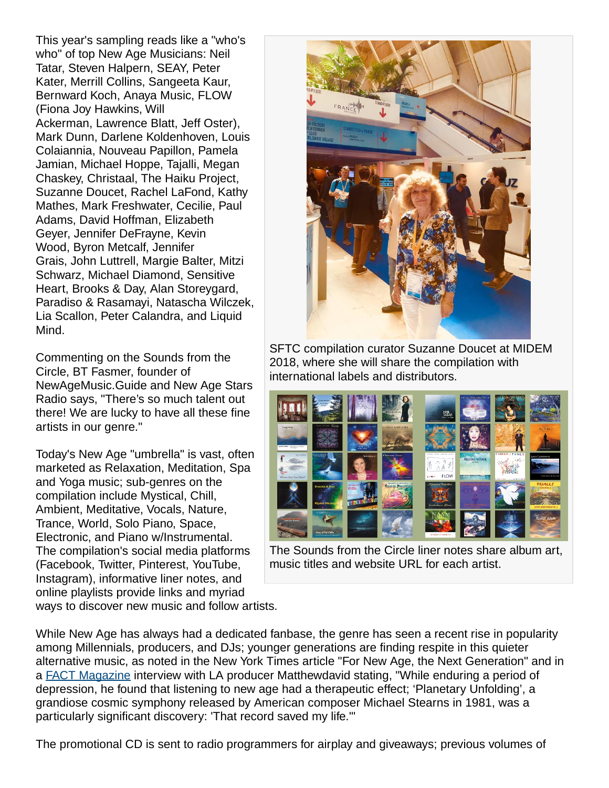This year's sampling reads like a "who's who" of top New Age Musicians: Neil Tatar, Steven Halpern, SEAY, Peter Kater, Merrill Collins, Sangeeta Kaur, Bernward Koch, Anaya Music, FLOW (Fiona Joy Hawkins, Will Ackerman, Lawrence Blatt, Jeff Oster), Mark Dunn, Darlene Koldenhoven, Louis Colaiannia, Nouveau Papillon, Pamela Jamian, Michael Hoppe, Tajalli, Megan Chaskey, Christaal, The Haiku Project, Suzanne Doucet, Rachel LaFond, Kathy Mathes, Mark Freshwater, Cecilie, Paul Adams, David Hoffman, Elizabeth Geyer, Jennifer DeFrayne, Kevin Wood, Byron Metcalf, Jennifer Grais, John Luttrell, Margie Balter, Mitzi Schwarz, Michael Diamond, Sensitive Heart, Brooks & Day, Alan Storeygard, Paradiso & Rasamayi, Natascha Wilczek, Lia Scallon, Peter Calandra, and Liquid Mind.

Commenting on the Sounds from the Circle, BT Fasmer, founder of NewAgeMusic.Guide and New Age Stars Radio says, "There's so much talent out there! We are lucky to have all these fine artists in our genre."

Today's New Age "umbrella" is vast, often marketed as Relaxation, Meditation, Spa and Yoga music; sub-genres on the compilation include Mystical, Chill, Ambient, Meditative, Vocals, Nature, Trance, World, Solo Piano, Space, Electronic, and Piano w/Instrumental. The compilation's social media platforms (Facebook, Twitter, Pinterest, YouTube, Instagram), informative liner notes, and online playlists provide links and myriad ways to discover new music and follow artists.



SFTC compilation curator Suzanne Doucet at MIDEM 2018, where she will share the compilation with international labels and distributors.



The Sounds from the Circle liner notes share album art, music titles and website URL for each artist.

While New Age has always had a dedicated fanbase, the genre has seen a recent rise in popularity among Millennials, producers, and DJs; younger generations are finding respite in this quieter alternative music, as noted in the New York Times article "For New Age, the Next Generation" and in a **FACT Magazine** interview with LA producer Matthewdavid stating, "While enduring a period of depression, he found that listening to new age had a therapeutic effect; 'Planetary Unfolding', a grandiose cosmic symphony released by American composer Michael Stearns in 1981, was a particularly significant discovery: 'That record saved my life.'"

The promotional CD is sent to radio programmers for airplay and giveaways; previous volumes of